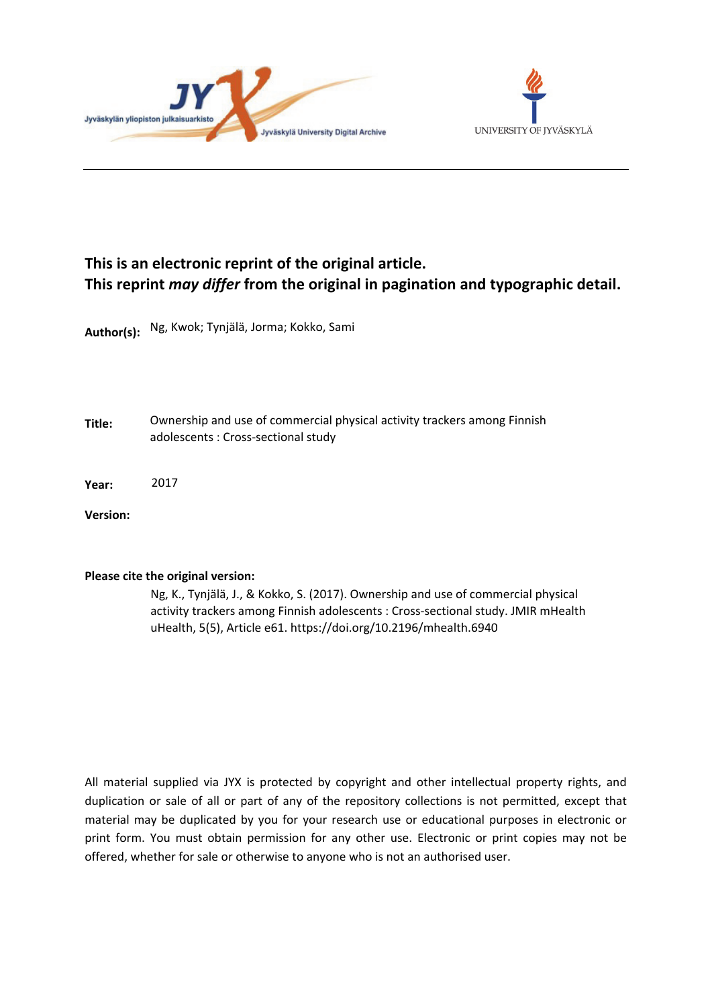



# **This is an electronic reprint of the original article. This reprint** *may differ* **from the original in pagination and typographic detail.**

**Author(s):**  Ng, Kwok; Tynjälä, Jorma; Kokko, Sami

**Title:** Ownership and use of commercial physical activity trackers among Finnish adolescents : Cross-sectional study

**Year:**  2017

**Version:**

#### **Please cite the original version:**

Ng, K., Tynjälä, J., & Kokko, S. (2017). Ownership and use of commercial physical activity trackers among Finnish adolescents : Cross-sectional study. JMIR mHealth uHealth, 5(5), Article e61. https://doi.org/10.2196/mhealth.6940

All material supplied via JYX is protected by copyright and other intellectual property rights, and duplication or sale of all or part of any of the repository collections is not permitted, except that material may be duplicated by you for your research use or educational purposes in electronic or print form. You must obtain permission for any other use. Electronic or print copies may not be offered, whether for sale or otherwise to anyone who is not an authorised user.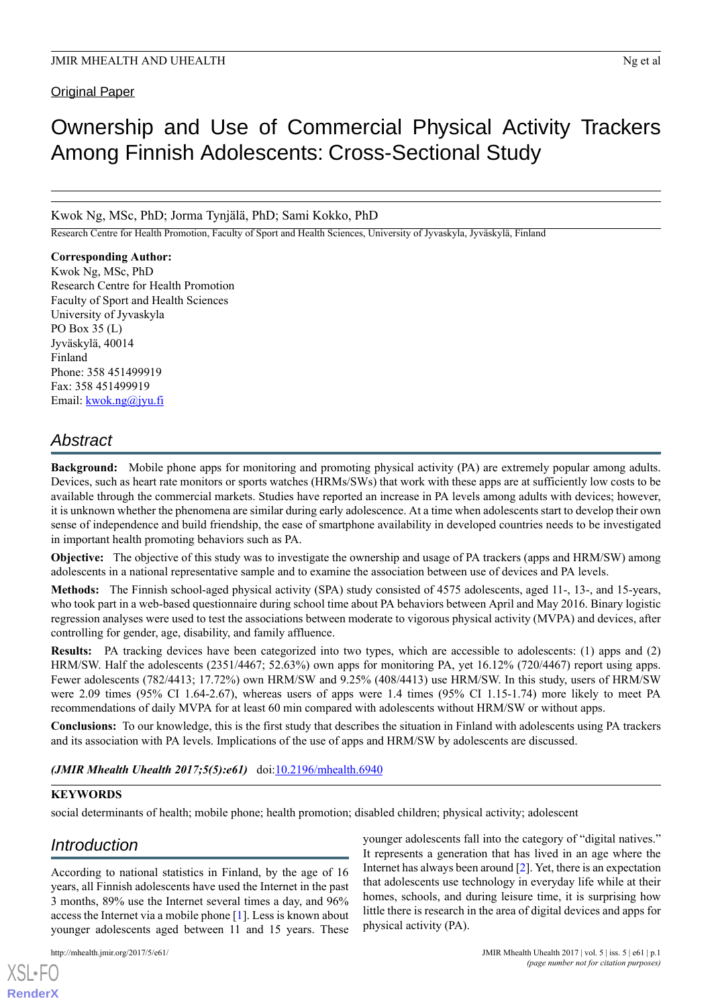Original Paper

# Ownership and Use of Commercial Physical Activity Trackers Among Finnish Adolescents: Cross-Sectional Study

Kwok Ng, MSc, PhD; Jorma Tynjälä, PhD; Sami Kokko, PhD

Research Centre for Health Promotion, Faculty of Sport and Health Sciences, University of Jyvaskyla, Jyväskylä, Finland

**Corresponding Author:** Kwok Ng, MSc, PhD Research Centre for Health Promotion Faculty of Sport and Health Sciences University of Jyvaskyla PO Box 35 (L) Jyväskylä, 40014 Finland Phone: 358 451499919 Fax: 358 451499919 Email: [kwok.ng@jyu.fi](mailto:kwok.ng@jyu.fi)

# *Abstract*

**Background:** Mobile phone apps for monitoring and promoting physical activity (PA) are extremely popular among adults. Devices, such as heart rate monitors or sports watches (HRMs/SWs) that work with these apps are at sufficiently low costs to be available through the commercial markets. Studies have reported an increase in PA levels among adults with devices; however, it is unknown whether the phenomena are similar during early adolescence. At a time when adolescents start to develop their own sense of independence and build friendship, the ease of smartphone availability in developed countries needs to be investigated in important health promoting behaviors such as PA.

**Objective:** The objective of this study was to investigate the ownership and usage of PA trackers (apps and HRM/SW) among adolescents in a national representative sample and to examine the association between use of devices and PA levels.

**Methods:** The Finnish school-aged physical activity (SPA) study consisted of 4575 adolescents, aged 11-, 13-, and 15-years, who took part in a web-based questionnaire during school time about PA behaviors between April and May 2016. Binary logistic regression analyses were used to test the associations between moderate to vigorous physical activity (MVPA) and devices, after controlling for gender, age, disability, and family affluence.

**Results:** PA tracking devices have been categorized into two types, which are accessible to adolescents: (1) apps and (2) HRM/SW. Half the adolescents (2351/4467; 52.63%) own apps for monitoring PA, yet 16.12% (720/4467) report using apps. Fewer adolescents (782/4413; 17.72%) own HRM/SW and 9.25% (408/4413) use HRM/SW. In this study, users of HRM/SW were 2.09 times (95% CI 1.64-2.67), whereas users of apps were 1.4 times (95% CI 1.15-1.74) more likely to meet PA recommendations of daily MVPA for at least 60 min compared with adolescents without HRM/SW or without apps.

**Conclusions:** To our knowledge, this is the first study that describes the situation in Finland with adolescents using PA trackers and its association with PA levels. Implications of the use of apps and HRM/SW by adolescents are discussed.

*(JMIR Mhealth Uhealth 2017;5(5):e61)* doi: $10.2196/m$ health.6940

#### **KEYWORDS**

social determinants of health; mobile phone; health promotion; disabled children; physical activity; adolescent

# *Introduction*

According to national statistics in Finland, by the age of 16 years, all Finnish adolescents have used the Internet in the past 3 months, 89% use the Internet several times a day, and 96% access the Internet via a mobile phone [\[1](#page-8-0)]. Less is known about younger adolescents aged between 11 and 15 years. These

[XSL](http://www.w3.org/Style/XSL)•FO **[RenderX](http://www.renderx.com/)**

younger adolescents fall into the category of "digital natives." It represents a generation that has lived in an age where the Internet has always been around [[2\]](#page-8-1). Yet, there is an expectation that adolescents use technology in everyday life while at their homes, schools, and during leisure time, it is surprising how little there is research in the area of digital devices and apps for physical activity (PA).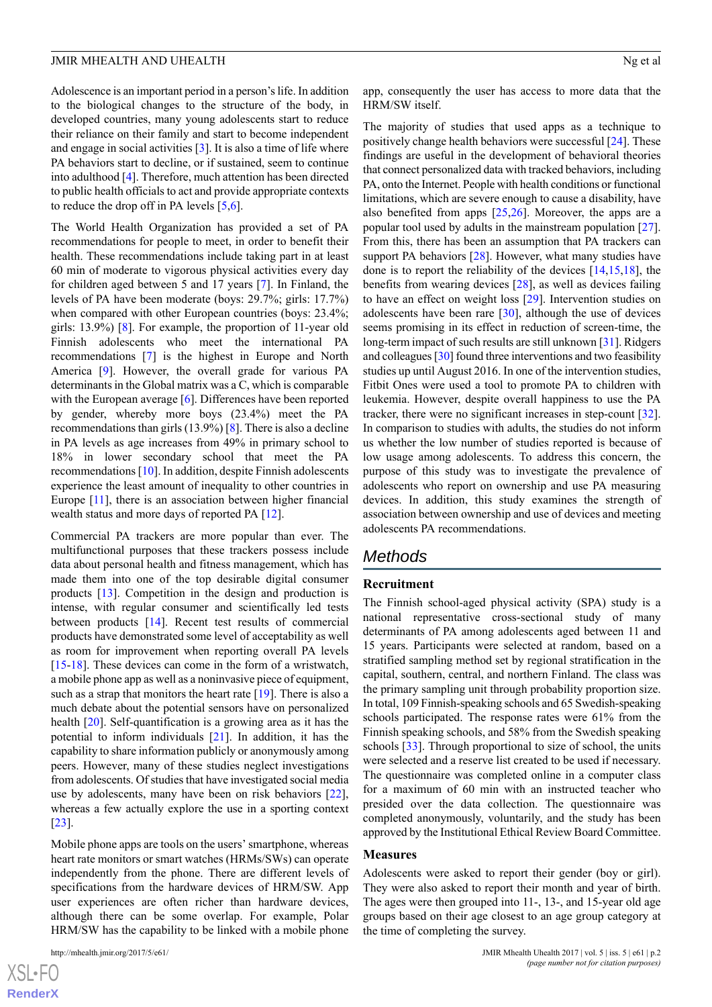Adolescence is an important period in a person's life. In addition to the biological changes to the structure of the body, in developed countries, many young adolescents start to reduce their reliance on their family and start to become independent and engage in social activities [\[3\]](#page-8-2). It is also a time of life where PA behaviors start to decline, or if sustained, seem to continue into adulthood [\[4](#page-8-3)]. Therefore, much attention has been directed to public health officials to act and provide appropriate contexts to reduce the drop off in PA levels [\[5](#page-8-4),[6\]](#page-9-0).

The World Health Organization has provided a set of PA recommendations for people to meet, in order to benefit their health. These recommendations include taking part in at least 60 min of moderate to vigorous physical activities every day for children aged between 5 and 17 years [[7\]](#page-9-1). In Finland, the levels of PA have been moderate (boys: 29.7%; girls: 17.7%) when compared with other European countries (boys: 23.4%; girls: 13.9%) [\[8](#page-9-2)]. For example, the proportion of 11-year old Finnish adolescents who meet the international PA recommendations [\[7](#page-9-1)] is the highest in Europe and North America [\[9](#page-9-3)]. However, the overall grade for various PA determinants in the Global matrix was a C, which is comparable with the European average [\[6](#page-9-0)]. Differences have been reported by gender, whereby more boys (23.4%) meet the PA recommendations than girls (13.9%) [[8\]](#page-9-2). There is also a decline in PA levels as age increases from 49% in primary school to 18% in lower secondary school that meet the PA recommendations [[10\]](#page-9-4). In addition, despite Finnish adolescents experience the least amount of inequality to other countries in Europe [\[11\]](#page-9-5), there is an association between higher financial wealth status and more days of reported PA [[12\]](#page-9-6).

Commercial PA trackers are more popular than ever. The multifunctional purposes that these trackers possess include data about personal health and fitness management, which has made them into one of the top desirable digital consumer products [[13\]](#page-9-7). Competition in the design and production is intense, with regular consumer and scientifically led tests between products [[14\]](#page-9-8). Recent test results of commercial products have demonstrated some level of acceptability as well as room for improvement when reporting overall PA levels [[15](#page-9-9)[-18](#page-9-10)]. These devices can come in the form of a wristwatch, a mobile phone app as well as a noninvasive piece of equipment, such as a strap that monitors the heart rate  $[19]$  $[19]$ . There is also a much debate about the potential sensors have on personalized health [\[20](#page-9-12)]. Self-quantification is a growing area as it has the potential to inform individuals [\[21](#page-9-13)]. In addition, it has the capability to share information publicly or anonymously among peers. However, many of these studies neglect investigations from adolescents. Of studies that have investigated social media use by adolescents, many have been on risk behaviors [[22\]](#page-9-14), whereas a few actually explore the use in a sporting context [[23\]](#page-9-15).

Mobile phone apps are tools on the users' smartphone, whereas heart rate monitors or smart watches (HRMs/SWs) can operate independently from the phone. There are different levels of specifications from the hardware devices of HRM/SW. App user experiences are often richer than hardware devices, although there can be some overlap. For example, Polar HRM/SW has the capability to be linked with a mobile phone

app, consequently the user has access to more data that the HRM/SW itself.

The majority of studies that used apps as a technique to positively change health behaviors were successful [[24\]](#page-9-16). These findings are useful in the development of behavioral theories that connect personalized data with tracked behaviors, including PA, onto the Internet. People with health conditions or functional limitations, which are severe enough to cause a disability, have also benefited from apps  $[25,26]$  $[25,26]$  $[25,26]$  $[25,26]$ . Moreover, the apps are a popular tool used by adults in the mainstream population [[27\]](#page-9-19). From this, there has been an assumption that PA trackers can support PA behaviors [\[28](#page-9-20)]. However, what many studies have done is to report the reliability of the devices [\[14](#page-9-8),[15](#page-9-9)[,18](#page-9-10)], the benefits from wearing devices [\[28](#page-9-20)], as well as devices failing to have an effect on weight loss [[29\]](#page-9-21). Intervention studies on adolescents have been rare [\[30](#page-10-0)], although the use of devices seems promising in its effect in reduction of screen-time, the long-term impact of such results are still unknown [\[31](#page-10-1)]. Ridgers and colleagues [\[30](#page-10-0)] found three interventions and two feasibility studies up until August 2016. In one of the intervention studies, Fitbit Ones were used a tool to promote PA to children with leukemia. However, despite overall happiness to use the PA tracker, there were no significant increases in step-count [[32\]](#page-10-2). In comparison to studies with adults, the studies do not inform us whether the low number of studies reported is because of low usage among adolescents. To address this concern, the purpose of this study was to investigate the prevalence of adolescents who report on ownership and use PA measuring devices. In addition, this study examines the strength of association between ownership and use of devices and meeting adolescents PA recommendations.

## *Methods*

#### **Recruitment**

The Finnish school-aged physical activity (SPA) study is a national representative cross-sectional study of many determinants of PA among adolescents aged between 11 and 15 years. Participants were selected at random, based on a stratified sampling method set by regional stratification in the capital, southern, central, and northern Finland. The class was the primary sampling unit through probability proportion size. In total, 109 Finnish-speaking schools and 65 Swedish-speaking schools participated. The response rates were 61% from the Finnish speaking schools, and 58% from the Swedish speaking schools [[33\]](#page-10-3). Through proportional to size of school, the units were selected and a reserve list created to be used if necessary. The questionnaire was completed online in a computer class for a maximum of 60 min with an instructed teacher who presided over the data collection. The questionnaire was completed anonymously, voluntarily, and the study has been approved by the Institutional Ethical Review Board Committee.

#### **Measures**

Adolescents were asked to report their gender (boy or girl). They were also asked to report their month and year of birth. The ages were then grouped into 11-, 13-, and 15-year old age groups based on their age closest to an age group category at the time of completing the survey.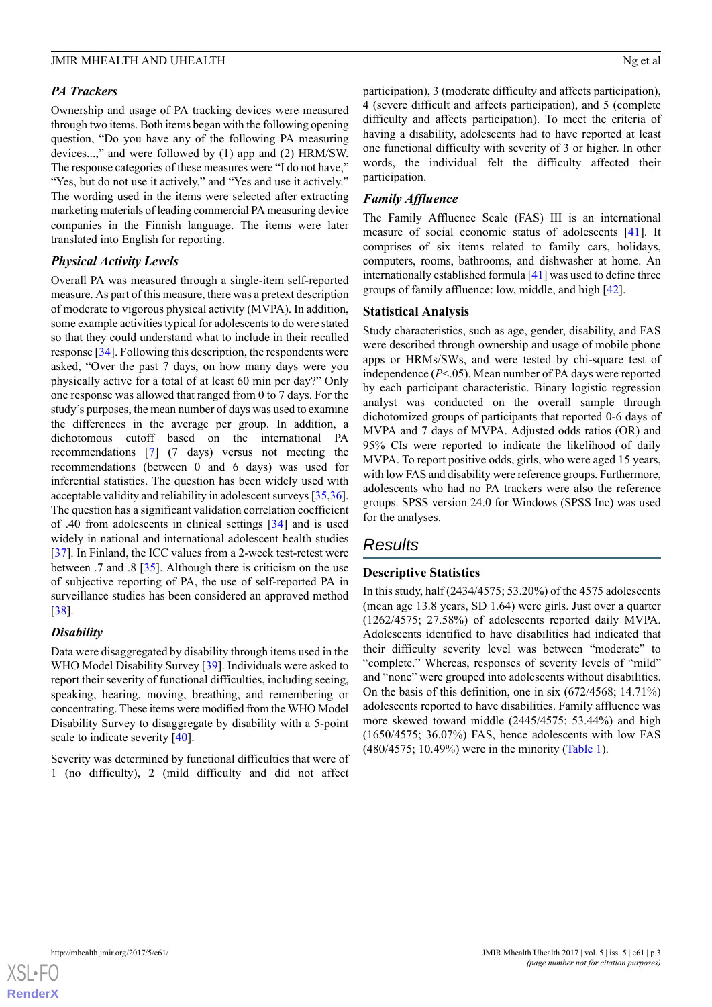#### *PA Trackers*

Ownership and usage of PA tracking devices were measured through two items. Both items began with the following opening question, "Do you have any of the following PA measuring devices...," and were followed by (1) app and (2) HRM/SW. The response categories of these measures were "I do not have," "Yes, but do not use it actively," and "Yes and use it actively." The wording used in the items were selected after extracting marketing materials of leading commercial PA measuring device companies in the Finnish language. The items were later translated into English for reporting.

#### *Physical Activity Levels*

Overall PA was measured through a single-item self-reported measure. As part of this measure, there was a pretext description of moderate to vigorous physical activity (MVPA). In addition, some example activities typical for adolescents to do were stated so that they could understand what to include in their recalled response [[34\]](#page-10-4). Following this description, the respondents were asked, "Over the past 7 days, on how many days were you physically active for a total of at least 60 min per day?" Only one response was allowed that ranged from 0 to 7 days. For the study's purposes, the mean number of days was used to examine the differences in the average per group. In addition, a dichotomous cutoff based on the international PA recommendations [[7\]](#page-9-1) (7 days) versus not meeting the recommendations (between 0 and 6 days) was used for inferential statistics. The question has been widely used with acceptable validity and reliability in adolescent surveys [[35,](#page-10-5)[36\]](#page-10-6). The question has a significant validation correlation coefficient of .40 from adolescents in clinical settings [\[34](#page-10-4)] and is used widely in national and international adolescent health studies [[37\]](#page-10-7). In Finland, the ICC values from a 2-week test-retest were between .7 and .8 [\[35](#page-10-5)]. Although there is criticism on the use of subjective reporting of PA, the use of self-reported PA in surveillance studies has been considered an approved method [[38\]](#page-10-8).

#### *Disability*

Data were disaggregated by disability through items used in the WHO Model Disability Survey [\[39](#page-10-9)]. Individuals were asked to report their severity of functional difficulties, including seeing, speaking, hearing, moving, breathing, and remembering or concentrating. These items were modified from the WHO Model Disability Survey to disaggregate by disability with a 5-point scale to indicate severity [[40\]](#page-10-10).

Severity was determined by functional difficulties that were of 1 (no difficulty), 2 (mild difficulty and did not affect participation), 3 (moderate difficulty and affects participation), 4 (severe difficult and affects participation), and 5 (complete difficulty and affects participation). To meet the criteria of having a disability, adolescents had to have reported at least one functional difficulty with severity of 3 or higher. In other words, the individual felt the difficulty affected their participation.

#### *Family Affluence*

The Family Affluence Scale (FAS) III is an international measure of social economic status of adolescents [[41\]](#page-10-11). It comprises of six items related to family cars, holidays, computers, rooms, bathrooms, and dishwasher at home. An internationally established formula [[41\]](#page-10-11) was used to define three groups of family affluence: low, middle, and high [[42\]](#page-10-12).

#### **Statistical Analysis**

Study characteristics, such as age, gender, disability, and FAS were described through ownership and usage of mobile phone apps or HRMs/SWs, and were tested by chi-square test of independence (*P*<.05). Mean number of PA days were reported by each participant characteristic. Binary logistic regression analyst was conducted on the overall sample through dichotomized groups of participants that reported 0-6 days of MVPA and 7 days of MVPA. Adjusted odds ratios (OR) and 95% CIs were reported to indicate the likelihood of daily MVPA. To report positive odds, girls, who were aged 15 years, with low FAS and disability were reference groups. Furthermore, adolescents who had no PA trackers were also the reference groups. SPSS version 24.0 for Windows (SPSS Inc) was used for the analyses.

# *Results*

#### **Descriptive Statistics**

In this study, half (2434/4575; 53.20%) of the 4575 adolescents (mean age 13.8 years, SD 1.64) were girls. Just over a quarter (1262/4575; 27.58%) of adolescents reported daily MVPA. Adolescents identified to have disabilities had indicated that their difficulty severity level was between "moderate" to "complete." Whereas, responses of severity levels of "mild" and "none" were grouped into adolescents without disabilities. On the basis of this definition, one in six (672/4568; 14.71%) adolescents reported to have disabilities. Family affluence was more skewed toward middle (2445/4575; 53.44%) and high (1650/4575; 36.07%) FAS, hence adolescents with low FAS (480/4575; 10.49%) were in the minority ([Table 1](#page-4-0)).

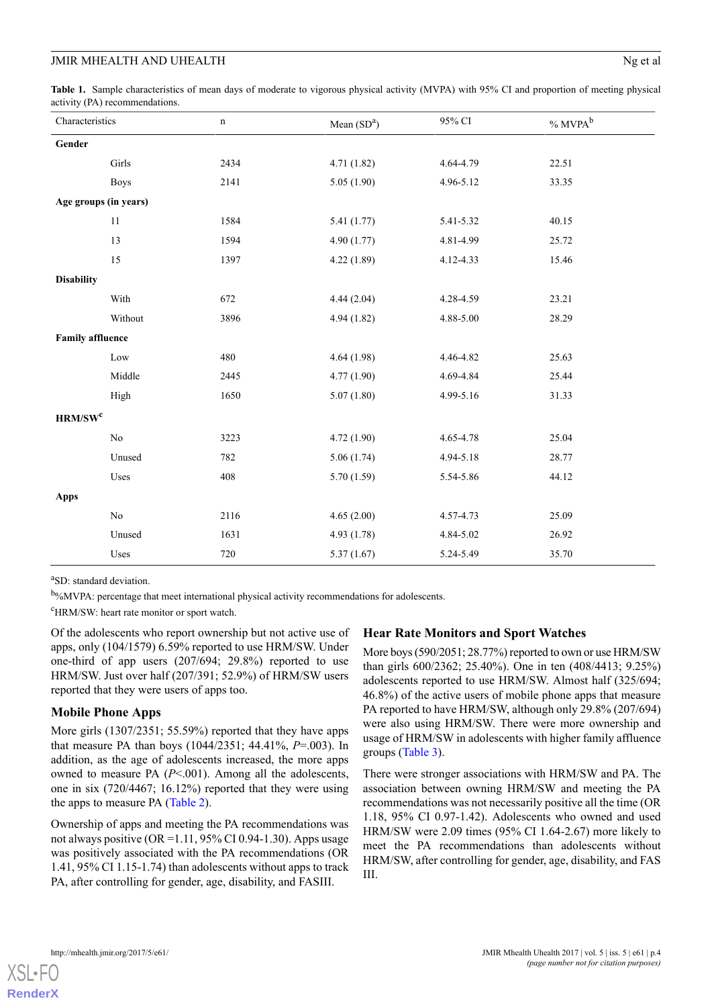<span id="page-4-0"></span>**Table 1.** Sample characteristics of mean days of moderate to vigorous physical activity (MVPA) with 95% CI and proportion of meeting physical activity (PA) recommendations.

| Characteristics         |                                  | $\mathbf n$ | Mean $(SDa)$ | 95% CI    | $\%$ MVPA $^{\rm b}$ |
|-------------------------|----------------------------------|-------------|--------------|-----------|----------------------|
| Gender                  |                                  |             |              |           |                      |
|                         | Girls                            | 2434        | 4.71(1.82)   | 4.64-4.79 | 22.51                |
|                         | <b>Boys</b>                      | 2141        | 5.05(1.90)   | 4.96-5.12 | 33.35                |
| Age groups (in years)   |                                  |             |              |           |                      |
|                         | $11\,$                           | 1584        | 5.41(1.77)   | 5.41-5.32 | 40.15                |
|                         | 13                               | 1594        | 4.90(1.77)   | 4.81-4.99 | 25.72                |
|                         | 15                               | 1397        | 4.22(1.89)   | 4.12-4.33 | 15.46                |
| <b>Disability</b>       |                                  |             |              |           |                      |
|                         | With                             | 672         | 4.44(2.04)   | 4.28-4.59 | 23.21                |
|                         | Without                          | 3896        | 4.94(1.82)   | 4.88-5.00 | 28.29                |
| <b>Family affluence</b> |                                  |             |              |           |                      |
|                         | Low                              | 480         | 4.64(1.98)   | 4.46-4.82 | 25.63                |
|                         | Middle                           | 2445        | 4.77(1.90)   | 4.69-4.84 | 25.44                |
|                         | High                             | 1650        | 5.07(1.80)   | 4.99-5.16 | 31.33                |
| HRM/SW <sup>c</sup>     |                                  |             |              |           |                      |
|                         | $\rm No$                         | 3223        | 4.72(1.90)   | 4.65-4.78 | 25.04                |
|                         | Unused                           | 782         | 5.06(1.74)   | 4.94-5.18 | 28.77                |
|                         | Uses                             | 408         | 5.70(1.59)   | 5.54-5.86 | 44.12                |
| <b>Apps</b>             |                                  |             |              |           |                      |
|                         | $\rm No$                         | 2116        | 4.65(2.00)   | 4.57-4.73 | 25.09                |
|                         | Unused                           | 1631        | 4.93(1.78)   | 4.84-5.02 | 26.92                |
|                         | $\ensuremath{\text{Uss}}\xspace$ | 720         | 5.37(1.67)   | 5.24-5.49 | 35.70                |

<sup>a</sup>SD: standard deviation.

b%MVPA: percentage that meet international physical activity recommendations for adolescents.

<sup>c</sup>HRM/SW: heart rate monitor or sport watch.

Of the adolescents who report ownership but not active use of apps, only (104/1579) 6.59% reported to use HRM/SW. Under one-third of app users (207/694; 29.8%) reported to use HRM/SW. Just over half (207/391; 52.9%) of HRM/SW users reported that they were users of apps too.

#### **Mobile Phone Apps**

More girls (1307/2351; 55.59%) reported that they have apps that measure PA than boys (1044/2351; 44.41%, *P*=.003). In addition, as the age of adolescents increased, the more apps owned to measure PA (*P*<.001). Among all the adolescents, one in six (720/4467; 16.12%) reported that they were using the apps to measure PA ([Table 2](#page-5-0)).

Ownership of apps and meeting the PA recommendations was not always positive ( $OR = 1.11$ , 95% CI 0.94-1.30). Apps usage was positively associated with the PA recommendations (OR 1.41, 95% CI 1.15-1.74) than adolescents without apps to track PA, after controlling for gender, age, disability, and FASIII.

#### **Hear Rate Monitors and Sport Watches**

More boys (590/2051; 28.77%) reported to own or use HRM/SW than girls 600/2362; 25.40%). One in ten (408/4413; 9.25%) adolescents reported to use HRM/SW. Almost half (325/694; 46.8%) of the active users of mobile phone apps that measure PA reported to have HRM/SW, although only 29.8% (207/694) were also using HRM/SW. There were more ownership and usage of HRM/SW in adolescents with higher family affluence groups ([Table 3](#page-6-0)).

There were stronger associations with HRM/SW and PA. The association between owning HRM/SW and meeting the PA recommendations was not necessarily positive all the time (OR 1.18, 95% CI 0.97-1.42). Adolescents who owned and used HRM/SW were 2.09 times (95% CI 1.64-2.67) more likely to meet the PA recommendations than adolescents without HRM/SW, after controlling for gender, age, disability, and FAS III.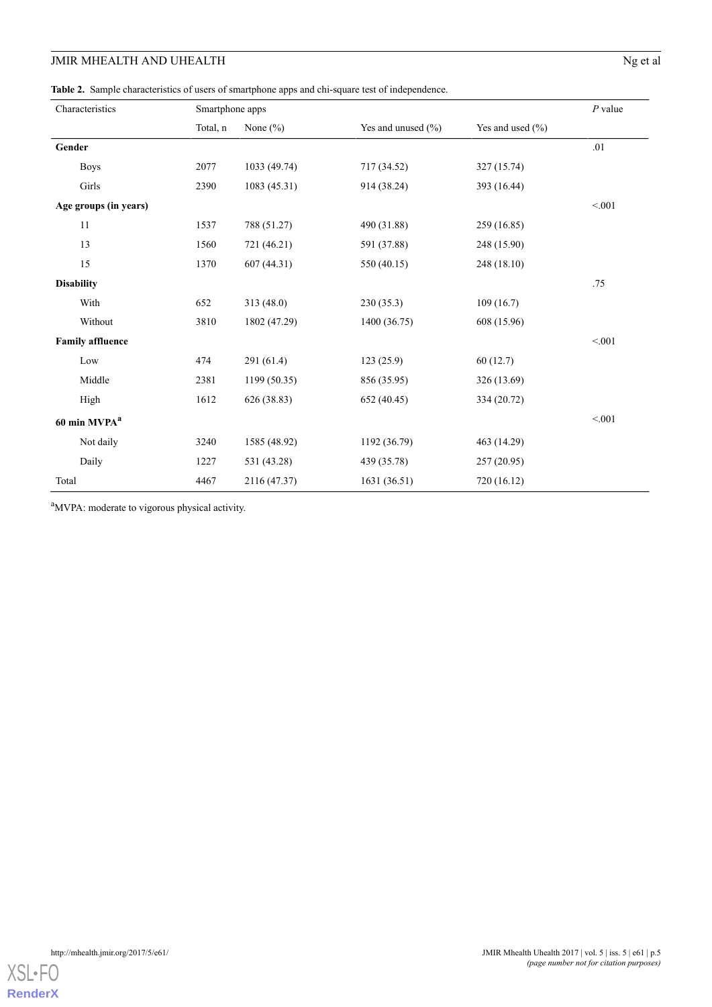# **JMIR MHEALTH AND UHEALTH** Ng et al

<span id="page-5-0"></span>**Table 2.** Sample characteristics of users of smartphone apps and chi-square test of independence.

| Characteristics          |             | Smartphone apps | $P$ value    |                        |                      |         |
|--------------------------|-------------|-----------------|--------------|------------------------|----------------------|---------|
|                          |             | Total, n        | None $(\% )$ | Yes and unused $(\% )$ | Yes and used $(\% )$ |         |
| Gender                   |             |                 |              |                        |                      | $.01\,$ |
|                          | <b>Boys</b> | 2077            | 1033 (49.74) | 717 (34.52)            | 327 (15.74)          |         |
|                          | Girls       | 2390            | 1083 (45.31) | 914 (38.24)            | 393 (16.44)          |         |
| Age groups (in years)    |             |                 |              |                        |                      | < 0.01  |
|                          | 11          | 1537            | 788 (51.27)  | 490 (31.88)            | 259 (16.85)          |         |
|                          | 13          | 1560            | 721 (46.21)  | 591 (37.88)            | 248 (15.90)          |         |
|                          | 15          | 1370            | 607 (44.31)  | 550 (40.15)            | 248 (18.10)          |         |
| <b>Disability</b>        |             |                 |              |                        |                      | .75     |
|                          | With        | 652             | 313 (48.0)   | 230(35.3)              | 109(16.7)            |         |
|                          | Without     | 3810            | 1802 (47.29) | 1400 (36.75)           | 608 (15.96)          |         |
| <b>Family affluence</b>  |             |                 |              |                        |                      | < 0.01  |
|                          | Low         | 474             | 291 (61.4)   | 123(25.9)              | 60(12.7)             |         |
|                          | Middle      | 2381            | 1199 (50.35) | 856 (35.95)            | 326 (13.69)          |         |
|                          | High        | 1612            | 626 (38.83)  | 652 (40.45)            | 334 (20.72)          |         |
| 60 min MVPA <sup>a</sup> |             |                 |              |                        |                      | < 0.01  |
|                          | Not daily   | 3240            | 1585 (48.92) | 1192 (36.79)           | 463 (14.29)          |         |
|                          | Daily       | 1227            | 531 (43.28)  | 439 (35.78)            | 257 (20.95)          |         |
| Total                    |             | 4467            | 2116 (47.37) | 1631 (36.51)           | 720 (16.12)          |         |

<sup>a</sup>MVPA: moderate to vigorous physical activity.

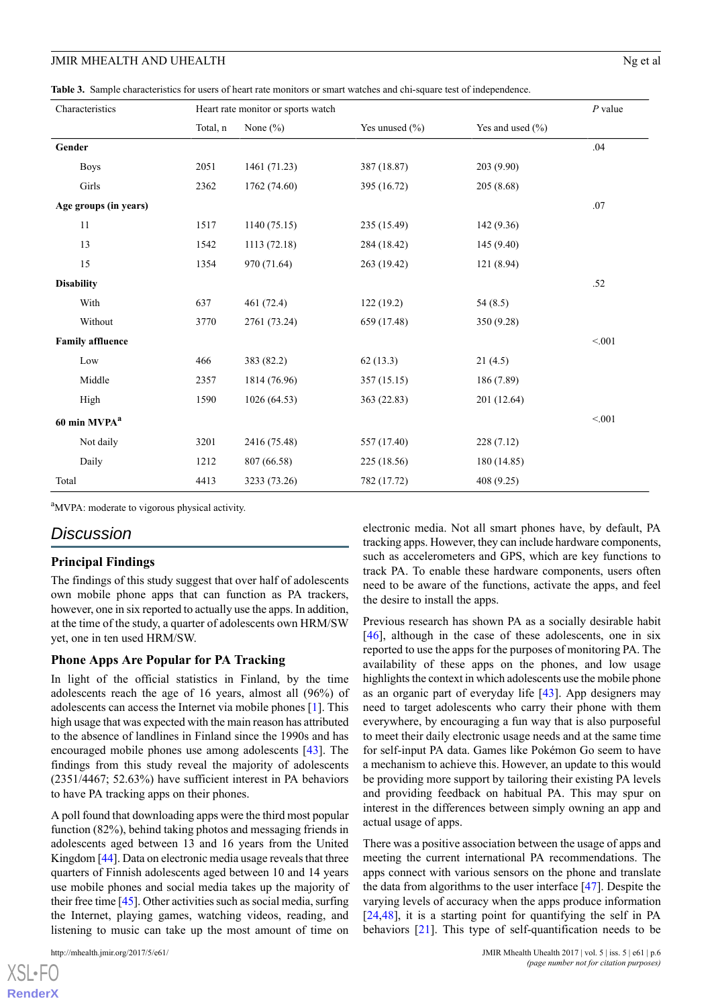<span id="page-6-0"></span>**Table 3.** Sample characteristics for users of heart rate monitors or smart watches and chi-square test of independence.

| Characteristics          |             | Heart rate monitor or sports watch |              | $P$ value      |                  |        |
|--------------------------|-------------|------------------------------------|--------------|----------------|------------------|--------|
|                          |             | Total, n                           | None $(\% )$ | Yes unused (%) | Yes and used (%) |        |
| Gender                   |             |                                    |              |                |                  | .04    |
|                          | <b>Boys</b> | 2051                               | 1461 (71.23) | 387 (18.87)    | 203 (9.90)       |        |
|                          | Girls       | 2362                               | 1762 (74.60) | 395 (16.72)    | 205(8.68)        |        |
| Age groups (in years)    |             |                                    |              |                |                  | .07    |
|                          | 11          | 1517                               | 1140(75.15)  | 235 (15.49)    | 142 (9.36)       |        |
|                          | 13          | 1542                               | 1113 (72.18) | 284 (18.42)    | 145 (9.40)       |        |
|                          | 15          | 1354                               | 970 (71.64)  | 263 (19.42)    | 121 (8.94)       |        |
| <b>Disability</b>        |             |                                    |              |                |                  | .52    |
|                          | With        | 637                                | 461 (72.4)   | 122(19.2)      | 54(8.5)          |        |
|                          | Without     | 3770                               | 2761 (73.24) | 659 (17.48)    | 350 (9.28)       |        |
| <b>Family affluence</b>  |             |                                    |              |                |                  | < 0.01 |
|                          | Low         | 466                                | 383 (82.2)   | 62(13.3)       | 21(4.5)          |        |
|                          | Middle      | 2357                               | 1814 (76.96) | 357(15.15)     | 186 (7.89)       |        |
|                          | High        | 1590                               | 1026 (64.53) | 363 (22.83)    | 201 (12.64)      |        |
| 60 min MVPA <sup>a</sup> |             |                                    |              |                |                  | < 0.01 |
|                          | Not daily   | 3201                               | 2416 (75.48) | 557 (17.40)    | 228 (7.12)       |        |
|                          | Daily       | 1212                               | 807 (66.58)  | 225 (18.56)    | 180 (14.85)      |        |
| Total                    |             | 4413                               | 3233 (73.26) | 782 (17.72)    | 408 (9.25)       |        |

<sup>a</sup>MVPA: moderate to vigorous physical activity.

### *Discussion*

#### **Principal Findings**

The findings of this study suggest that over half of adolescents own mobile phone apps that can function as PA trackers, however, one in six reported to actually use the apps. In addition, at the time of the study, a quarter of adolescents own HRM/SW yet, one in ten used HRM/SW.

#### **Phone Apps Are Popular for PA Tracking**

In light of the official statistics in Finland, by the time adolescents reach the age of 16 years, almost all (96%) of adolescents can access the Internet via mobile phones [[1\]](#page-8-0). This high usage that was expected with the main reason has attributed to the absence of landlines in Finland since the 1990s and has encouraged mobile phones use among adolescents [[43\]](#page-10-13). The findings from this study reveal the majority of adolescents (2351/4467; 52.63%) have sufficient interest in PA behaviors to have PA tracking apps on their phones.

A poll found that downloading apps were the third most popular function (82%), behind taking photos and messaging friends in adolescents aged between 13 and 16 years from the United Kingdom [\[44\]](#page-10-14). Data on electronic media usage reveals that three quarters of Finnish adolescents aged between 10 and 14 years use mobile phones and social media takes up the majority of their free time [\[45\]](#page-10-15). Other activities such as social media, surfing the Internet, playing games, watching videos, reading, and listening to music can take up the most amount of time on

electronic media. Not all smart phones have, by default, PA tracking apps. However, they can include hardware components, such as accelerometers and GPS, which are key functions to track PA. To enable these hardware components, users often need to be aware of the functions, activate the apps, and feel the desire to install the apps.

Previous research has shown PA as a socially desirable habit [[46\]](#page-10-16), although in the case of these adolescents, one in six reported to use the apps for the purposes of monitoring PA. The availability of these apps on the phones, and low usage highlights the context in which adolescents use the mobile phone as an organic part of everyday life [[43\]](#page-10-13). App designers may need to target adolescents who carry their phone with them everywhere, by encouraging a fun way that is also purposeful to meet their daily electronic usage needs and at the same time for self-input PA data. Games like Pokémon Go seem to have a mechanism to achieve this. However, an update to this would be providing more support by tailoring their existing PA levels and providing feedback on habitual PA. This may spur on interest in the differences between simply owning an app and actual usage of apps.

There was a positive association between the usage of apps and meeting the current international PA recommendations. The apps connect with various sensors on the phone and translate the data from algorithms to the user interface [\[47](#page-10-17)]. Despite the varying levels of accuracy when the apps produce information [[24,](#page-9-16)[48\]](#page-10-18), it is a starting point for quantifying the self in PA behaviors [\[21](#page-9-13)]. This type of self-quantification needs to be

 $XS$  • FC **[RenderX](http://www.renderx.com/)**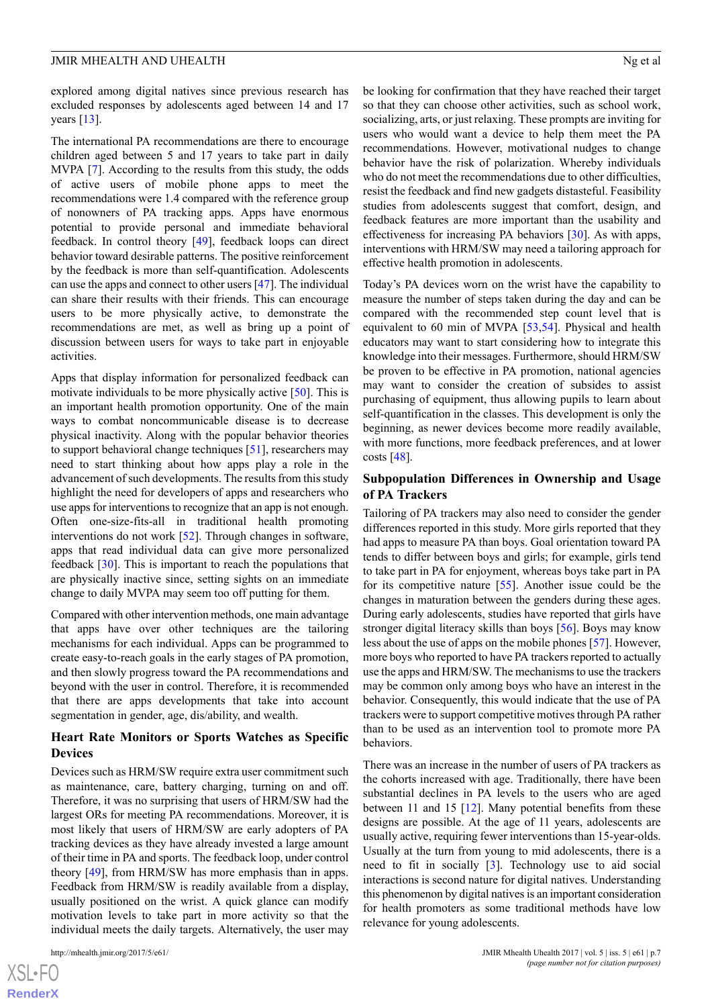explored among digital natives since previous research has excluded responses by adolescents aged between 14 and 17 years  $[13]$  $[13]$ .

The international PA recommendations are there to encourage children aged between 5 and 17 years to take part in daily MVPA [[7\]](#page-9-1). According to the results from this study, the odds of active users of mobile phone apps to meet the recommendations were 1.4 compared with the reference group of nonowners of PA tracking apps. Apps have enormous potential to provide personal and immediate behavioral feedback. In control theory [\[49](#page-10-19)], feedback loops can direct behavior toward desirable patterns. The positive reinforcement by the feedback is more than self-quantification. Adolescents can use the apps and connect to other users [[47\]](#page-10-17). The individual can share their results with their friends. This can encourage users to be more physically active, to demonstrate the recommendations are met, as well as bring up a point of discussion between users for ways to take part in enjoyable activities.

Apps that display information for personalized feedback can motivate individuals to be more physically active [\[50](#page-10-20)]. This is an important health promotion opportunity. One of the main ways to combat noncommunicable disease is to decrease physical inactivity. Along with the popular behavior theories to support behavioral change techniques [[51\]](#page-10-21), researchers may need to start thinking about how apps play a role in the advancement of such developments. The results from this study highlight the need for developers of apps and researchers who use apps for interventions to recognize that an app is not enough. Often one-size-fits-all in traditional health promoting interventions do not work [[52\]](#page-10-22). Through changes in software, apps that read individual data can give more personalized feedback [[30\]](#page-10-0). This is important to reach the populations that are physically inactive since, setting sights on an immediate change to daily MVPA may seem too off putting for them.

Compared with other intervention methods, one main advantage that apps have over other techniques are the tailoring mechanisms for each individual. Apps can be programmed to create easy-to-reach goals in the early stages of PA promotion, and then slowly progress toward the PA recommendations and beyond with the user in control. Therefore, it is recommended that there are apps developments that take into account segmentation in gender, age, dis/ability, and wealth.

#### **Heart Rate Monitors or Sports Watches as Specific Devices**

Devices such as HRM/SW require extra user commitment such as maintenance, care, battery charging, turning on and off. Therefore, it was no surprising that users of HRM/SW had the largest ORs for meeting PA recommendations. Moreover, it is most likely that users of HRM/SW are early adopters of PA tracking devices as they have already invested a large amount of their time in PA and sports. The feedback loop, under control theory [\[49](#page-10-19)], from HRM/SW has more emphasis than in apps. Feedback from HRM/SW is readily available from a display, usually positioned on the wrist. A quick glance can modify motivation levels to take part in more activity so that the individual meets the daily targets. Alternatively, the user may

[XSL](http://www.w3.org/Style/XSL)•FO **[RenderX](http://www.renderx.com/)** be looking for confirmation that they have reached their target so that they can choose other activities, such as school work, socializing, arts, or just relaxing. These prompts are inviting for users who would want a device to help them meet the PA recommendations. However, motivational nudges to change behavior have the risk of polarization. Whereby individuals who do not meet the recommendations due to other difficulties, resist the feedback and find new gadgets distasteful. Feasibility studies from adolescents suggest that comfort, design, and feedback features are more important than the usability and effectiveness for increasing PA behaviors [[30\]](#page-10-0). As with apps, interventions with HRM/SW may need a tailoring approach for effective health promotion in adolescents.

Today's PA devices worn on the wrist have the capability to measure the number of steps taken during the day and can be compared with the recommended step count level that is equivalent to 60 min of MVPA [[53,](#page-11-0)[54](#page-11-1)]. Physical and health educators may want to start considering how to integrate this knowledge into their messages. Furthermore, should HRM/SW be proven to be effective in PA promotion, national agencies may want to consider the creation of subsides to assist purchasing of equipment, thus allowing pupils to learn about self-quantification in the classes. This development is only the beginning, as newer devices become more readily available, with more functions, more feedback preferences, and at lower costs [\[48](#page-10-18)].

#### **Subpopulation Differences in Ownership and Usage of PA Trackers**

Tailoring of PA trackers may also need to consider the gender differences reported in this study. More girls reported that they had apps to measure PA than boys. Goal orientation toward PA tends to differ between boys and girls; for example, girls tend to take part in PA for enjoyment, whereas boys take part in PA for its competitive nature [\[55](#page-11-2)]. Another issue could be the changes in maturation between the genders during these ages. During early adolescents, studies have reported that girls have stronger digital literacy skills than boys [[56\]](#page-11-3). Boys may know less about the use of apps on the mobile phones [\[57](#page-11-4)]. However, more boys who reported to have PA trackers reported to actually use the apps and HRM/SW. The mechanisms to use the trackers may be common only among boys who have an interest in the behavior. Consequently, this would indicate that the use of PA trackers were to support competitive motives through PA rather than to be used as an intervention tool to promote more PA behaviors.

There was an increase in the number of users of PA trackers as the cohorts increased with age. Traditionally, there have been substantial declines in PA levels to the users who are aged between 11 and 15 [[12\]](#page-9-6). Many potential benefits from these designs are possible. At the age of 11 years, adolescents are usually active, requiring fewer interventions than 15-year-olds. Usually at the turn from young to mid adolescents, there is a need to fit in socially [[3\]](#page-8-2). Technology use to aid social interactions is second nature for digital natives. Understanding this phenomenon by digital natives is an important consideration for health promoters as some traditional methods have low relevance for young adolescents.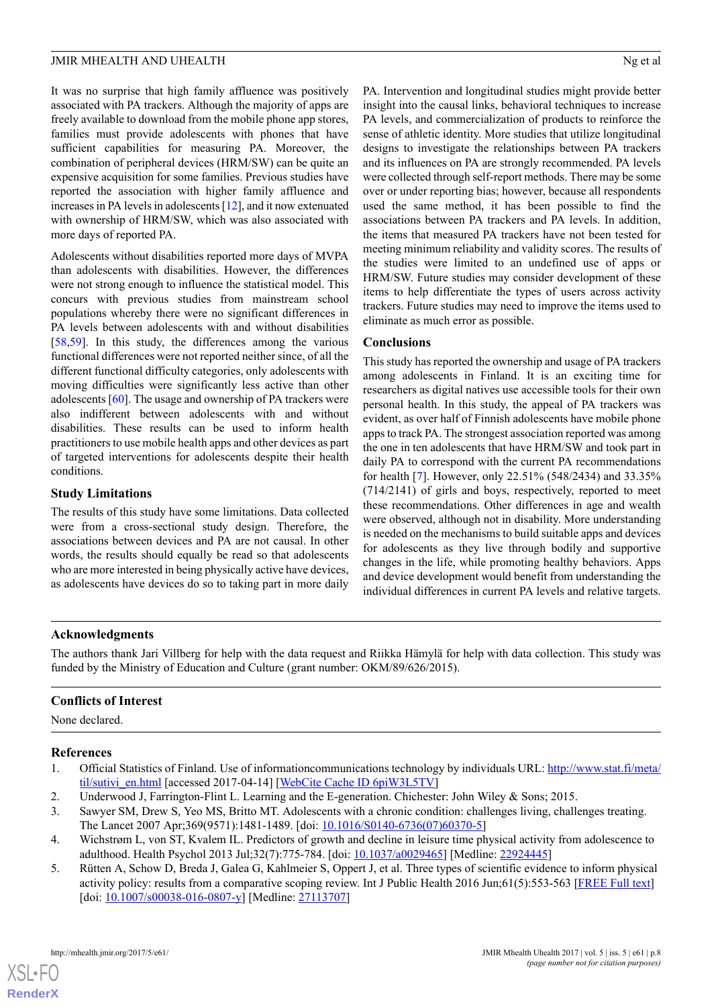It was no surprise that high family affluence was positively associated with PA trackers. Although the majority of apps are freely available to download from the mobile phone app stores, families must provide adolescents with phones that have sufficient capabilities for measuring PA. Moreover, the combination of peripheral devices (HRM/SW) can be quite an expensive acquisition for some families. Previous studies have reported the association with higher family affluence and increases in PA levels in adolescents [[12\]](#page-9-6), and it now extenuated with ownership of HRM/SW, which was also associated with more days of reported PA.

Adolescents without disabilities reported more days of MVPA than adolescents with disabilities. However, the differences were not strong enough to influence the statistical model. This concurs with previous studies from mainstream school populations whereby there were no significant differences in PA levels between adolescents with and without disabilities [[58](#page-11-5)[,59](#page-11-6)]. In this study, the differences among the various functional differences were not reported neither since, of all the different functional difficulty categories, only adolescents with moving difficulties were significantly less active than other adolescents [[60\]](#page-11-7). The usage and ownership of PA trackers were also indifferent between adolescents with and without disabilities. These results can be used to inform health practitioners to use mobile health apps and other devices as part of targeted interventions for adolescents despite their health conditions.

#### **Study Limitations**

The results of this study have some limitations. Data collected were from a cross-sectional study design. Therefore, the associations between devices and PA are not causal. In other words, the results should equally be read so that adolescents who are more interested in being physically active have devices, as adolescents have devices do so to taking part in more daily

PA. Intervention and longitudinal studies might provide better insight into the causal links, behavioral techniques to increase PA levels, and commercialization of products to reinforce the sense of athletic identity. More studies that utilize longitudinal designs to investigate the relationships between PA trackers and its influences on PA are strongly recommended. PA levels were collected through self-report methods. There may be some over or under reporting bias; however, because all respondents used the same method, it has been possible to find the associations between PA trackers and PA levels. In addition, the items that measured PA trackers have not been tested for meeting minimum reliability and validity scores. The results of the studies were limited to an undefined use of apps or HRM/SW. Future studies may consider development of these items to help differentiate the types of users across activity trackers. Future studies may need to improve the items used to eliminate as much error as possible.

#### **Conclusions**

This study has reported the ownership and usage of PA trackers among adolescents in Finland. It is an exciting time for researchers as digital natives use accessible tools for their own personal health. In this study, the appeal of PA trackers was evident, as over half of Finnish adolescents have mobile phone apps to track PA. The strongest association reported was among the one in ten adolescents that have HRM/SW and took part in daily PA to correspond with the current PA recommendations for health [\[7\]](#page-9-1). However, only 22.51% (548/2434) and 33.35% (714/2141) of girls and boys, respectively, reported to meet these recommendations. Other differences in age and wealth were observed, although not in disability. More understanding is needed on the mechanisms to build suitable apps and devices for adolescents as they live through bodily and supportive changes in the life, while promoting healthy behaviors. Apps and device development would benefit from understanding the individual differences in current PA levels and relative targets.

#### **Acknowledgments**

The authors thank Jari Villberg for help with the data request and Riikka Hämylä for help with data collection. This study was funded by the Ministry of Education and Culture (grant number: OKM/89/626/2015).

#### <span id="page-8-0"></span>**Conflicts of Interest**

<span id="page-8-2"></span><span id="page-8-1"></span>None declared.

#### <span id="page-8-3"></span>**References**

- 1. Official Statistics of Finland. Use of informationcommunications technology by individuals URL: [http://www.stat.fi/meta/](http://www.stat.fi/meta/til/sutivi_en.html) [til/sutivi\\_en.html](http://www.stat.fi/meta/til/sutivi_en.html) [accessed 2017-04-14] [\[WebCite Cache ID 6piW3L5TV](http://www.webcitation.org/6piW3L5TV)]
- <span id="page-8-4"></span>2. Underwood J, Farrington-Flint L. Learning and the E-generation. Chichester: John Wiley & Sons; 2015.
- 3. Sawyer SM, Drew S, Yeo MS, Britto MT. Adolescents with a chronic condition: challenges living, challenges treating. The Lancet 2007 Apr;369(9571):1481-1489. [doi: [10.1016/S0140-6736\(07\)60370-5](http://dx.doi.org/10.1016/S0140-6736(07)60370-5)]
- 4. Wichstrøm L, von ST, Kvalem IL. Predictors of growth and decline in leisure time physical activity from adolescence to adulthood. Health Psychol 2013 Jul;32(7):775-784. [doi: [10.1037/a0029465](http://dx.doi.org/10.1037/a0029465)] [Medline: [22924445](http://www.ncbi.nlm.nih.gov/entrez/query.fcgi?cmd=Retrieve&db=PubMed&list_uids=22924445&dopt=Abstract)]
- 5. Rütten A, Schow D, Breda J, Galea G, Kahlmeier S, Oppert J, et al. Three types of scientific evidence to inform physical activity policy: results from a comparative scoping review. Int J Public Health 2016 Jun;61(5):553-563 [[FREE Full text](http://europepmc.org/abstract/MED/27113707)] [doi: [10.1007/s00038-016-0807-y](http://dx.doi.org/10.1007/s00038-016-0807-y)] [Medline: [27113707](http://www.ncbi.nlm.nih.gov/entrez/query.fcgi?cmd=Retrieve&db=PubMed&list_uids=27113707&dopt=Abstract)]

 $XS$  $\cdot$ FC **[RenderX](http://www.renderx.com/)**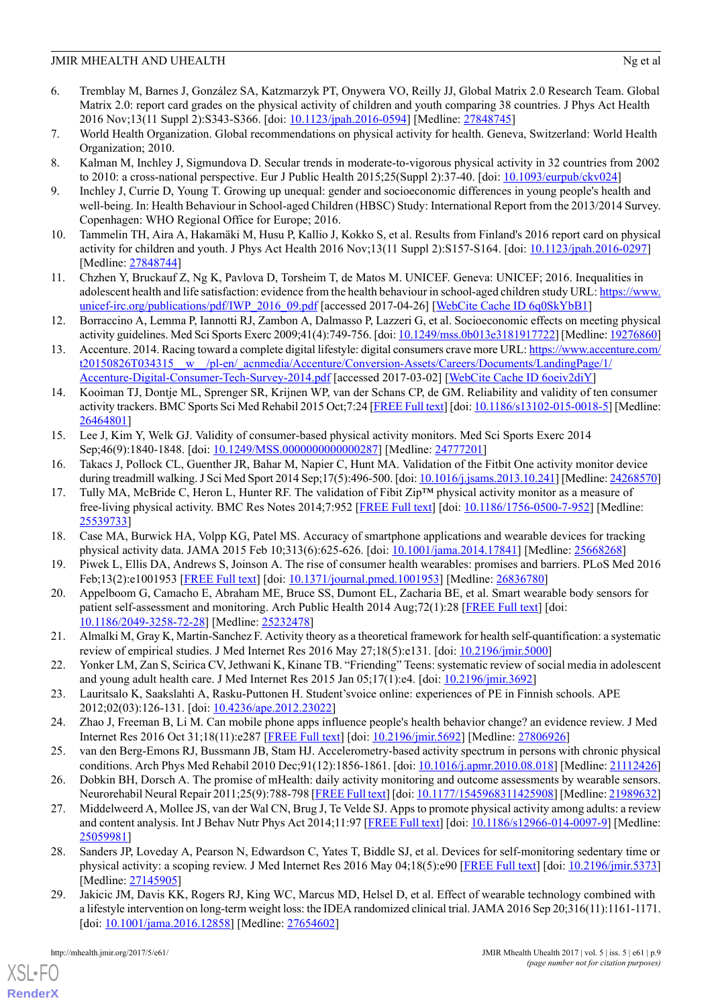- <span id="page-9-0"></span>6. Tremblay M, Barnes J, González SA, Katzmarzyk PT, Onywera VO, Reilly JJ, Global Matrix 2.0 Research Team. Global Matrix 2.0: report card grades on the physical activity of children and youth comparing 38 countries. J Phys Act Health 2016 Nov;13(11 Suppl 2):S343-S366. [doi: [10.1123/jpah.2016-0594](http://dx.doi.org/10.1123/jpah.2016-0594)] [Medline: [27848745\]](http://www.ncbi.nlm.nih.gov/entrez/query.fcgi?cmd=Retrieve&db=PubMed&list_uids=27848745&dopt=Abstract)
- <span id="page-9-2"></span><span id="page-9-1"></span>7. World Health Organization. Global recommendations on physical activity for health. Geneva, Switzerland: World Health Organization; 2010.
- <span id="page-9-3"></span>8. Kalman M, Inchley J, Sigmundova D. Secular trends in moderate-to-vigorous physical activity in 32 countries from 2002 to 2010: a cross-national perspective. Eur J Public Health 2015;25(Suppl 2):37-40. [doi: [10.1093/eurpub/ckv024](http://dx.doi.org/10.1093/eurpub/ckv024)]
- <span id="page-9-4"></span>9. Inchley J, Currie D, Young T. Growing up unequal: gender and socioeconomic differences in young people's health and well-being. In: Health Behaviour in School-aged Children (HBSC) Study: International Report from the 2013/2014 Survey. Copenhagen: WHO Regional Office for Europe; 2016.
- <span id="page-9-5"></span>10. Tammelin TH, Aira A, Hakamäki M, Husu P, Kallio J, Kokko S, et al. Results from Finland's 2016 report card on physical activity for children and youth. J Phys Act Health 2016 Nov;13(11 Suppl 2):S157-S164. [doi: [10.1123/jpah.2016-0297](http://dx.doi.org/10.1123/jpah.2016-0297)] [Medline: [27848744](http://www.ncbi.nlm.nih.gov/entrez/query.fcgi?cmd=Retrieve&db=PubMed&list_uids=27848744&dopt=Abstract)]
- <span id="page-9-6"></span>11. Chzhen Y, Bruckauf Z, Ng K, Pavlova D, Torsheim T, de Matos M. UNICEF. Geneva: UNICEF; 2016. Inequalities in adolescent health and life satisfaction: evidence from the health behaviour in school-aged children study URL: [https://www.](https://www.unicef-irc.org/publications/pdf/IWP_2016_09.pdf) [unicef-irc.org/publications/pdf/IWP\\_2016\\_09.pdf](https://www.unicef-irc.org/publications/pdf/IWP_2016_09.pdf) [accessed 2017-04-26] [[WebCite Cache ID 6q0SkYbB1\]](http://www.webcitation.org/6q0SkYbB1)
- <span id="page-9-7"></span>12. Borraccino A, Lemma P, Iannotti RJ, Zambon A, Dalmasso P, Lazzeri G, et al. Socioeconomic effects on meeting physical activity guidelines. Med Sci Sports Exerc 2009;41(4):749-756. [doi: [10.1249/mss.0b013e3181917722](http://dx.doi.org/10.1249/mss.0b013e3181917722)] [Medline: [19276860\]](http://www.ncbi.nlm.nih.gov/entrez/query.fcgi?cmd=Retrieve&db=PubMed&list_uids=19276860&dopt=Abstract)
- <span id="page-9-8"></span>13. Accenture. 2014. Racing toward a complete digital lifestyle: digital consumers crave more URL: [https://www.accenture.com/](https://www.accenture.com/t20150826T034315__w__/pl-en/_acnmedia/Accenture/Conversion-Assets/Careers/Documents/LandingPage/1/Accenture-Digital-Consumer-Tech-Survey-2014.pdf) [t20150826T034315\\_\\_w\\_\\_/pl-en/\\_acnmedia/Accenture/Conversion-Assets/Careers/Documents/LandingPage/1/](https://www.accenture.com/t20150826T034315__w__/pl-en/_acnmedia/Accenture/Conversion-Assets/Careers/Documents/LandingPage/1/Accenture-Digital-Consumer-Tech-Survey-2014.pdf) [Accenture-Digital-Consumer-Tech-Survey-2014.pdf](https://www.accenture.com/t20150826T034315__w__/pl-en/_acnmedia/Accenture/Conversion-Assets/Careers/Documents/LandingPage/1/Accenture-Digital-Consumer-Tech-Survey-2014.pdf) [accessed 2017-03-02] [[WebCite Cache ID 6oeiv2diY](http://www.webcitation.org/6oeiv2diY)]
- <span id="page-9-9"></span>14. Kooiman TJ, Dontje ML, Sprenger SR, Krijnen WP, van der Schans CP, de GM. Reliability and validity of ten consumer activity trackers. BMC Sports Sci Med Rehabil 2015 Oct;7:24 [\[FREE Full text](http://bmcsportsscimedrehabil.biomedcentral.com/articles/10.1186/s13102-015-0018-5)] [doi: [10.1186/s13102-015-0018-5\]](http://dx.doi.org/10.1186/s13102-015-0018-5) [Medline: [26464801](http://www.ncbi.nlm.nih.gov/entrez/query.fcgi?cmd=Retrieve&db=PubMed&list_uids=26464801&dopt=Abstract)]
- 15. Lee J, Kim Y, Welk GJ. Validity of consumer-based physical activity monitors. Med Sci Sports Exerc 2014 Sep;46(9):1840-1848. [doi: [10.1249/MSS.0000000000000287](http://dx.doi.org/10.1249/MSS.0000000000000287)] [Medline: [24777201\]](http://www.ncbi.nlm.nih.gov/entrez/query.fcgi?cmd=Retrieve&db=PubMed&list_uids=24777201&dopt=Abstract)
- 16. Takacs J, Pollock CL, Guenther JR, Bahar M, Napier C, Hunt MA. Validation of the Fitbit One activity monitor device during treadmill walking. J Sci Med Sport 2014 Sep;17(5):496-500. [doi: [10.1016/j.jsams.2013.10.241](http://dx.doi.org/10.1016/j.jsams.2013.10.241)] [Medline: [24268570\]](http://www.ncbi.nlm.nih.gov/entrez/query.fcgi?cmd=Retrieve&db=PubMed&list_uids=24268570&dopt=Abstract)
- <span id="page-9-11"></span><span id="page-9-10"></span>17. Tully MA, McBride C, Heron L, Hunter RF. The validation of Fibit Zip™ physical activity monitor as a measure of free-living physical activity. BMC Res Notes 2014;7:952 [[FREE Full text](http://bmcresnotes.biomedcentral.com/articles/10.1186/1756-0500-7-952)] [doi: [10.1186/1756-0500-7-952](http://dx.doi.org/10.1186/1756-0500-7-952)] [Medline: [25539733](http://www.ncbi.nlm.nih.gov/entrez/query.fcgi?cmd=Retrieve&db=PubMed&list_uids=25539733&dopt=Abstract)]
- <span id="page-9-12"></span>18. Case MA, Burwick HA, Volpp KG, Patel MS. Accuracy of smartphone applications and wearable devices for tracking physical activity data. JAMA 2015 Feb 10;313(6):625-626. [doi: [10.1001/jama.2014.17841\]](http://dx.doi.org/10.1001/jama.2014.17841) [Medline: [25668268](http://www.ncbi.nlm.nih.gov/entrez/query.fcgi?cmd=Retrieve&db=PubMed&list_uids=25668268&dopt=Abstract)]
- <span id="page-9-13"></span>19. Piwek L, Ellis DA, Andrews S, Joinson A. The rise of consumer health wearables: promises and barriers. PLoS Med 2016 Feb;13(2):e1001953 [[FREE Full text](http://dx.plos.org/10.1371/journal.pmed.1001953)] [doi: [10.1371/journal.pmed.1001953](http://dx.doi.org/10.1371/journal.pmed.1001953)] [Medline: [26836780](http://www.ncbi.nlm.nih.gov/entrez/query.fcgi?cmd=Retrieve&db=PubMed&list_uids=26836780&dopt=Abstract)]
- <span id="page-9-14"></span>20. Appelboom G, Camacho E, Abraham ME, Bruce SS, Dumont EL, Zacharia BE, et al. Smart wearable body sensors for patient self-assessment and monitoring. Arch Public Health 2014 Aug;72(1):28 [[FREE Full text](https://archpublichealth.biomedcentral.com/articles/10.1186/2049-3258-72-28)] [doi: [10.1186/2049-3258-72-28](http://dx.doi.org/10.1186/2049-3258-72-28)] [Medline: [25232478](http://www.ncbi.nlm.nih.gov/entrez/query.fcgi?cmd=Retrieve&db=PubMed&list_uids=25232478&dopt=Abstract)]
- <span id="page-9-15"></span>21. Almalki M, Gray K, Martin-Sanchez F. Activity theory as a theoretical framework for health self-quantification: a systematic review of empirical studies. J Med Internet Res 2016 May 27;18(5):e131. [doi: [10.2196/jmir.5000](http://dx.doi.org/10.2196/jmir.5000)]
- <span id="page-9-17"></span><span id="page-9-16"></span>22. Yonker LM, Zan S, Scirica CV, Jethwani K, Kinane TB. "Friending" Teens: systematic review of social media in adolescent and young adult health care. J Med Internet Res 2015 Jan 05;17(1):e4. [doi: [10.2196/jmir.3692](http://dx.doi.org/10.2196/jmir.3692)]
- <span id="page-9-18"></span>23. Lauritsalo K, Saakslahti A, Rasku-Puttonen H. Student'svoice online: experiences of PE in Finnish schools. APE 2012;02(03):126-131. [doi: [10.4236/ape.2012.23022\]](http://dx.doi.org/10.4236/ape.2012.23022)
- <span id="page-9-19"></span>24. Zhao J, Freeman B, Li M. Can mobile phone apps influence people's health behavior change? an evidence review. J Med Internet Res 2016 Oct 31;18(11):e287 [\[FREE Full text\]](http://www.jmir.org/2016/11/e287/) [doi: [10.2196/jmir.5692\]](http://dx.doi.org/10.2196/jmir.5692) [Medline: [27806926](http://www.ncbi.nlm.nih.gov/entrez/query.fcgi?cmd=Retrieve&db=PubMed&list_uids=27806926&dopt=Abstract)]
- 25. van den Berg-Emons RJ, Bussmann JB, Stam HJ. Accelerometry-based activity spectrum in persons with chronic physical conditions. Arch Phys Med Rehabil 2010 Dec;91(12):1856-1861. [doi: [10.1016/j.apmr.2010.08.018](http://dx.doi.org/10.1016/j.apmr.2010.08.018)] [Medline: [21112426](http://www.ncbi.nlm.nih.gov/entrez/query.fcgi?cmd=Retrieve&db=PubMed&list_uids=21112426&dopt=Abstract)]
- <span id="page-9-20"></span>26. Dobkin BH, Dorsch A. The promise of mHealth: daily activity monitoring and outcome assessments by wearable sensors. Neurorehabil Neural Repair 2011;25(9):788-798 [[FREE Full text\]](http://europepmc.org/abstract/MED/21989632) [doi: [10.1177/1545968311425908](http://dx.doi.org/10.1177/1545968311425908)] [Medline: [21989632](http://www.ncbi.nlm.nih.gov/entrez/query.fcgi?cmd=Retrieve&db=PubMed&list_uids=21989632&dopt=Abstract)]
- <span id="page-9-21"></span>27. Middelweerd A, Mollee JS, van der Wal CN, Brug J, Te Velde SJ. Apps to promote physical activity among adults: a review and content analysis. Int J Behav Nutr Phys Act 2014;11:97 [[FREE Full text\]](http://www.ijbnpa.org/content/11//97) [doi: [10.1186/s12966-014-0097-9\]](http://dx.doi.org/10.1186/s12966-014-0097-9) [Medline: [25059981](http://www.ncbi.nlm.nih.gov/entrez/query.fcgi?cmd=Retrieve&db=PubMed&list_uids=25059981&dopt=Abstract)]
- 28. Sanders JP, Loveday A, Pearson N, Edwardson C, Yates T, Biddle SJ, et al. Devices for self-monitoring sedentary time or physical activity: a scoping review. J Med Internet Res 2016 May 04;18(5):e90 [\[FREE Full text](http://www.jmir.org/2016/5/e90/)] [doi: [10.2196/jmir.5373](http://dx.doi.org/10.2196/jmir.5373)] [Medline: [27145905](http://www.ncbi.nlm.nih.gov/entrez/query.fcgi?cmd=Retrieve&db=PubMed&list_uids=27145905&dopt=Abstract)]
- 29. Jakicic JM, Davis KK, Rogers RJ, King WC, Marcus MD, Helsel D, et al. Effect of wearable technology combined with a lifestyle intervention on long-term weight loss: the IDEA randomized clinical trial. JAMA 2016 Sep 20;316(11):1161-1171. [doi: [10.1001/jama.2016.12858\]](http://dx.doi.org/10.1001/jama.2016.12858) [Medline: [27654602](http://www.ncbi.nlm.nih.gov/entrez/query.fcgi?cmd=Retrieve&db=PubMed&list_uids=27654602&dopt=Abstract)]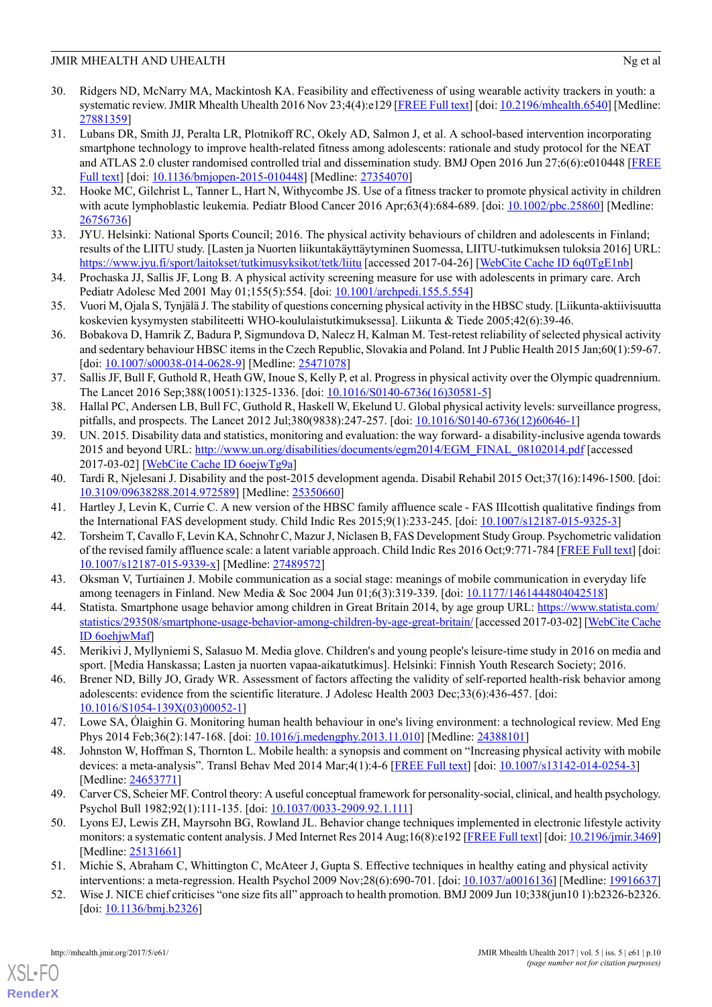- <span id="page-10-0"></span>30. Ridgers ND, McNarry MA, Mackintosh KA. Feasibility and effectiveness of using wearable activity trackers in youth: a systematic review. JMIR Mhealth Uhealth 2016 Nov 23;4(4):e129 [[FREE Full text](http://mhealth.jmir.org/2016/4/e129/)] [doi: [10.2196/mhealth.6540](http://dx.doi.org/10.2196/mhealth.6540)] [Medline: [27881359](http://www.ncbi.nlm.nih.gov/entrez/query.fcgi?cmd=Retrieve&db=PubMed&list_uids=27881359&dopt=Abstract)]
- <span id="page-10-1"></span>31. Lubans DR, Smith JJ, Peralta LR, Plotnikoff RC, Okely AD, Salmon J, et al. A school-based intervention incorporating smartphone technology to improve health-related fitness among adolescents: rationale and study protocol for the NEAT and ATLAS 2.0 cluster randomised controlled trial and dissemination study. BMJ Open 2016 Jun 27;6(6):e010448 [\[FREE](http://bmjopen.bmj.com/cgi/pmidlookup?view=long&pmid=27354070) [Full text](http://bmjopen.bmj.com/cgi/pmidlookup?view=long&pmid=27354070)] [doi: [10.1136/bmjopen-2015-010448\]](http://dx.doi.org/10.1136/bmjopen-2015-010448) [Medline: [27354070\]](http://www.ncbi.nlm.nih.gov/entrez/query.fcgi?cmd=Retrieve&db=PubMed&list_uids=27354070&dopt=Abstract)
- <span id="page-10-3"></span><span id="page-10-2"></span>32. Hooke MC, Gilchrist L, Tanner L, Hart N, Withycombe JS. Use of a fitness tracker to promote physical activity in children with acute lymphoblastic leukemia. Pediatr Blood Cancer 2016 Apr;63(4):684-689. [doi: [10.1002/pbc.25860\]](http://dx.doi.org/10.1002/pbc.25860) [Medline: [26756736](http://www.ncbi.nlm.nih.gov/entrez/query.fcgi?cmd=Retrieve&db=PubMed&list_uids=26756736&dopt=Abstract)]
- <span id="page-10-4"></span>33. JYU. Helsinki: National Sports Council; 2016. The physical activity behaviours of children and adolescents in Finland; results of the LIITU study. [Lasten ja Nuorten liikuntakäyttäytyminen Suomessa, LIITU-tutkimuksen tuloksia 2016] URL: <https://www.jyu.fi/sport/laitokset/tutkimusyksikot/tetk/liitu> [accessed 2017-04-26] [\[WebCite Cache ID 6q0TgE1nb](http://www.webcitation.org/6q0TgE1nb)]
- <span id="page-10-5"></span>34. Prochaska JJ, Sallis JF, Long B. A physical activity screening measure for use with adolescents in primary care. Arch Pediatr Adolesc Med 2001 May 01;155(5):554. [doi: [10.1001/archpedi.155.5.554](http://dx.doi.org/10.1001/archpedi.155.5.554)]
- <span id="page-10-6"></span>35. Vuori M, Ojala S, Tynjälä J. The stability of questions concerning physical activity in the HBSC study. [Liikunta-aktiivisuutta koskevien kysymysten stabiliteetti WHO-koululaistutkimuksessa]. Liikunta & Tiede 2005;42(6):39-46.
- <span id="page-10-7"></span>36. Bobakova D, Hamrik Z, Badura P, Sigmundova D, Nalecz H, Kalman M. Test-retest reliability of selected physical activity and sedentary behaviour HBSC items in the Czech Republic, Slovakia and Poland. Int J Public Health 2015 Jan;60(1):59-67. [doi: [10.1007/s00038-014-0628-9](http://dx.doi.org/10.1007/s00038-014-0628-9)] [Medline: [25471078\]](http://www.ncbi.nlm.nih.gov/entrez/query.fcgi?cmd=Retrieve&db=PubMed&list_uids=25471078&dopt=Abstract)
- <span id="page-10-8"></span>37. Sallis JF, Bull F, Guthold R, Heath GW, Inoue S, Kelly P, et al. Progress in physical activity over the Olympic quadrennium. The Lancet 2016 Sep;388(10051):1325-1336. [doi: [10.1016/S0140-6736\(16\)30581-5\]](http://dx.doi.org/10.1016/S0140-6736(16)30581-5)
- <span id="page-10-9"></span>38. Hallal PC, Andersen LB, Bull FC, Guthold R, Haskell W, Ekelund U. Global physical activity levels: surveillance progress, pitfalls, and prospects. The Lancet 2012 Jul;380(9838):247-257. [doi: [10.1016/S0140-6736\(12\)60646-1\]](http://dx.doi.org/10.1016/S0140-6736(12)60646-1)
- <span id="page-10-10"></span>39. UN. 2015. Disability data and statistics, monitoring and evaluation: the way forward- a disability-inclusive agenda towards 2015 and beyond URL: [http://www.un.org/disabilities/documents/egm2014/EGM\\_FINAL\\_08102014.pdf](http://www.un.org/disabilities/documents/egm2014/EGM_FINAL_08102014.pdf) [accessed] 2017-03-02] [\[WebCite Cache ID 6oejwTg9a\]](http://www.webcitation.org/6oejwTg9a)
- <span id="page-10-12"></span><span id="page-10-11"></span>40. Tardi R, Njelesani J. Disability and the post-2015 development agenda. Disabil Rehabil 2015 Oct;37(16):1496-1500. [doi: [10.3109/09638288.2014.972589\]](http://dx.doi.org/10.3109/09638288.2014.972589) [Medline: [25350660](http://www.ncbi.nlm.nih.gov/entrez/query.fcgi?cmd=Retrieve&db=PubMed&list_uids=25350660&dopt=Abstract)]
- <span id="page-10-13"></span>41. Hartley J, Levin K, Currie C. A new version of the HBSC family affluence scale - FAS IIIcottish qualitative findings from the International FAS development study. Child Indic Res 2015;9(1):233-245. [doi: [10.1007/s12187-015-9325-3](http://dx.doi.org/10.1007/s12187-015-9325-3)]
- <span id="page-10-14"></span>42. Torsheim T, Cavallo F, Levin KA, Schnohr C, Mazur J, Niclasen B, FAS Development Study Group. Psychometric validation of the revised family affluence scale: a latent variable approach. Child Indic Res 2016 Oct;9:771-784 [\[FREE Full text](http://europepmc.org/abstract/MED/27489572)] [doi: [10.1007/s12187-015-9339-x\]](http://dx.doi.org/10.1007/s12187-015-9339-x) [Medline: [27489572](http://www.ncbi.nlm.nih.gov/entrez/query.fcgi?cmd=Retrieve&db=PubMed&list_uids=27489572&dopt=Abstract)]
- <span id="page-10-15"></span>43. Oksman V, Turtiainen J. Mobile communication as a social stage: meanings of mobile communication in everyday life among teenagers in Finland. New Media & Soc 2004 Jun 01;6(3):319-339. [doi: [10.1177/1461444804042518](http://dx.doi.org/10.1177/1461444804042518)]
- <span id="page-10-16"></span>44. Statista. Smartphone usage behavior among children in Great Britain 2014, by age group URL: [https://www.statista.com/](https://www.statista.com/statistics/293508/smartphone-usage-behavior-among-children-by-age-great-britain/) [statistics/293508/smartphone-usage-behavior-among-children-by-age-great-britain/](https://www.statista.com/statistics/293508/smartphone-usage-behavior-among-children-by-age-great-britain/) [accessed 2017-03-02] [[WebCite Cache](http://www.webcitation.org/6oehjwMaf) [ID 6oehjwMaf\]](http://www.webcitation.org/6oehjwMaf)
- <span id="page-10-17"></span>45. Merikivi J, Myllyniemi S, Salasuo M. Media glove. Children's and young people's leisure-time study in 2016 on media and sport. [Media Hanskassa; Lasten ja nuorten vapaa-aikatutkimus]. Helsinki: Finnish Youth Research Society; 2016.
- <span id="page-10-18"></span>46. Brener ND, Billy JO, Grady WR. Assessment of factors affecting the validity of self-reported health-risk behavior among adolescents: evidence from the scientific literature. J Adolesc Health 2003 Dec;33(6):436-457. [doi: [10.1016/S1054-139X\(03\)00052-1\]](http://dx.doi.org/10.1016/S1054-139X(03)00052-1)
- <span id="page-10-19"></span>47. Lowe SA, Ólaighin G. Monitoring human health behaviour in one's living environment: a technological review. Med Eng Phys 2014 Feb;36(2):147-168. [doi: [10.1016/j.medengphy.2013.11.010\]](http://dx.doi.org/10.1016/j.medengphy.2013.11.010) [Medline: [24388101](http://www.ncbi.nlm.nih.gov/entrez/query.fcgi?cmd=Retrieve&db=PubMed&list_uids=24388101&dopt=Abstract)]
- <span id="page-10-20"></span>48. Johnston W, Hoffman S, Thornton L. Mobile health: a synopsis and comment on "Increasing physical activity with mobile devices: a meta-analysis". Transl Behav Med 2014 Mar;4(1):4-6 [\[FREE Full text](http://europepmc.org/abstract/MED/24653771)] [doi: [10.1007/s13142-014-0254-3\]](http://dx.doi.org/10.1007/s13142-014-0254-3) [Medline: [24653771](http://www.ncbi.nlm.nih.gov/entrez/query.fcgi?cmd=Retrieve&db=PubMed&list_uids=24653771&dopt=Abstract)]
- <span id="page-10-22"></span><span id="page-10-21"></span>49. Carver CS, Scheier MF. Control theory: A useful conceptual framework for personality-social, clinical, and health psychology. Psychol Bull 1982;92(1):111-135. [doi: [10.1037/0033-2909.92.1.111\]](http://dx.doi.org/10.1037/0033-2909.92.1.111)
- 50. Lyons EJ, Lewis ZH, Mayrsohn BG, Rowland JL. Behavior change techniques implemented in electronic lifestyle activity monitors: a systematic content analysis. J Med Internet Res 2014 Aug;16(8):e192 [[FREE Full text](http://www.jmir.org/2014/8/e192/)] [doi: [10.2196/jmir.3469\]](http://dx.doi.org/10.2196/jmir.3469) [Medline: [25131661](http://www.ncbi.nlm.nih.gov/entrez/query.fcgi?cmd=Retrieve&db=PubMed&list_uids=25131661&dopt=Abstract)]
- 51. Michie S, Abraham C, Whittington C, McAteer J, Gupta S. Effective techniques in healthy eating and physical activity interventions: a meta-regression. Health Psychol 2009 Nov;28(6):690-701. [doi: [10.1037/a0016136](http://dx.doi.org/10.1037/a0016136)] [Medline: [19916637](http://www.ncbi.nlm.nih.gov/entrez/query.fcgi?cmd=Retrieve&db=PubMed&list_uids=19916637&dopt=Abstract)]
- 52. Wise J. NICE chief criticises "one size fits all" approach to health promotion. BMJ 2009 Jun 10;338(jun10 1):b2326-b2326. [doi: [10.1136/bmj.b2326\]](http://dx.doi.org/10.1136/bmj.b2326)